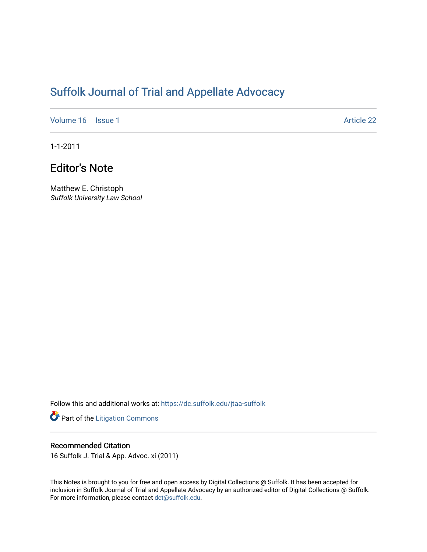## [Suffolk Journal of Trial and Appellate Advocacy](https://dc.suffolk.edu/jtaa-suffolk)

[Volume 16](https://dc.suffolk.edu/jtaa-suffolk/vol16) | [Issue 1](https://dc.suffolk.edu/jtaa-suffolk/vol16/iss1) Article 22

1-1-2011

## Editor's Note

Matthew E. Christoph Suffolk University Law School

Follow this and additional works at: [https://dc.suffolk.edu/jtaa-suffolk](https://dc.suffolk.edu/jtaa-suffolk?utm_source=dc.suffolk.edu%2Fjtaa-suffolk%2Fvol16%2Fiss1%2F22&utm_medium=PDF&utm_campaign=PDFCoverPages) 

Part of the [Litigation Commons](https://network.bepress.com/hgg/discipline/910?utm_source=dc.suffolk.edu%2Fjtaa-suffolk%2Fvol16%2Fiss1%2F22&utm_medium=PDF&utm_campaign=PDFCoverPages)

## Recommended Citation

16 Suffolk J. Trial & App. Advoc. xi (2011)

This Notes is brought to you for free and open access by Digital Collections @ Suffolk. It has been accepted for inclusion in Suffolk Journal of Trial and Appellate Advocacy by an authorized editor of Digital Collections @ Suffolk. For more information, please contact [dct@suffolk.edu](mailto:dct@suffolk.edu).